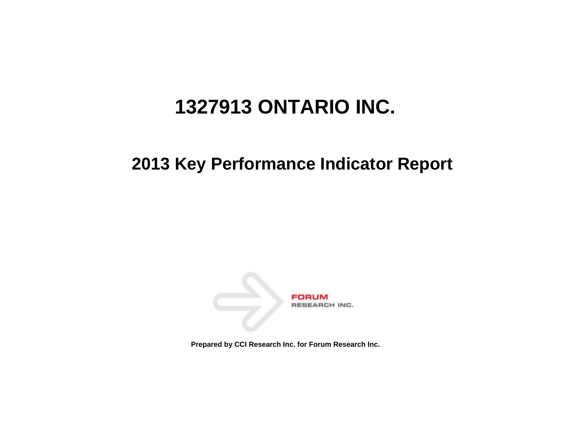# **1327913 ONTARIO INC.**

# **2013 Key Performance Indicator Report**



**Prepared by CCI Research Inc. for Forum Research Inc.**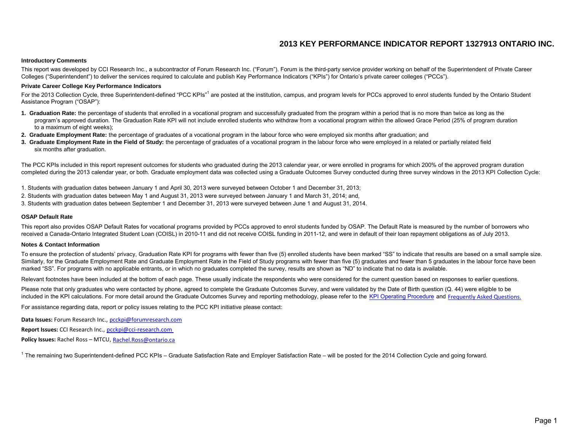# **2013 KEY PERFORMANCE INDICATOR REPORT 1327913 ONTARIO INC.**

#### **Introductory Comments**

 This report was developed by CCI Research Inc., a subcontractor of Forum Research Inc. ("Forum"). Forum is the third-party service provider working on behalf of the Superintendent of Private Career Colleges ("Superintendent") to deliver the services required to calculate and publish Key Performance Indicators ("KPIs") for Ontario's private career colleges ("PCCs").

#### **Private Career College Key Performance Indicators**

For the 2013 Collection Cycle, three Superintendent-defined "PCC KPIs"<sup>1</sup> are posted at the institution, campus, and program levels for PCCs approved to enrol students funded by the Ontario Student Assistance Program ("OSAP"):

- **1. Graduation Rate:** the percentage of students that enrolled in a vocational program and successfully graduated from the program within a period that is no more than twice as long as the program's approved duration. The Graduation Rate KPI will not include enrolled students who withdraw from a vocational program within the allowed Grace Period (25% of program duration to a maximum of eight weeks);
- **2. Graduate Employment Rate:** the percentage of graduates of a vocational program in the labour force who were employed six months after graduation; and
- **3.** Graduate Employment Rate in the Field of Study: the percentage of graduates of a vocational program in the labour force who were employed in a related or partially related field six months after graduation.

 The PCC KPIs included in this report represent outcomes for students who graduated during the 2013 calendar year, or were enrolled in programs for which 200% of the approved program duration completed during the 2013 calendar year, or both. Graduate employment data was collected using a Graduate Outcomes Survey conducted during three survey windows in the 2013 KPI Collection Cycle:

- 1. Students with graduation dates between January 1 and April 30, 2013 were surveyed between October 1 and December 31, 2013;
- 2. Students with graduation dates between May 1 and August 31, 2013 were surveyed between January 1 and March 31, 2014; and,
- 3. Students with graduation dates between September 1 and December 31, 2013 were surveyed between June 1 and August 31, 2014.

#### **OSAP Default Rate**

 This report also provides OSAP Default Rates for vocational programs provided by PCCs approved to enrol students funded by OSAP. The Default Rate is measured by the number of borrowers who received a Canada-Ontario Integrated Student Loan (COISL) in 2010-11 and did not receive COISL funding in 2011-12, and were in default of their loan repayment obligations as of July 2013.

#### **Notes & Contact Information**

 To ensure the protection of students' privacy, Graduation Rate KPI for programs with fewer than five (5) enrolled students have been marked "SS" to indicate that results are based on a small sample size. Similarly, for the Graduate Employment Rate and Graduate Employment Rate in the Field of Study programs with fewer than five (5) graduates and fewer than 5 graduates in the labour force have been marked "SS". For programs with no applicable entrants, or in which no graduates completed the survey, results are shown as "ND" to indicate that no data is available.

Relevant footnotes have been included at the bottom of each page. These usually indicate the respondents who were considered for the current question based on responses to earlier questions.

included in the KPI calculations. For more detail around the Graduate Outcomes Survey and reporting methodology, please refer to the [KPI Operating Procedure](http://www.pcckpi.ca/Files/2013-14 Private Career College KPI Operating Procedure.pdf) and Frequently Asked Questions. Please note that only graduates who were contacted by phone, agreed to complete the Graduate Outcomes Survey, and were validated by the Date of Birth question (Q. 44) were eligible to be

For assistance regarding data, report or policy issues relating to the PCC KPI initiative please contact:

**Data Issues:** Forum Research Inc., [pcckpi@forumresearch.com](mailto:pcckpi@forumresearch.com)

**Report Issues:** CCI Research Inc., [pcckpi@cci-research.com](mailto:pcckpi@cci-research.com) 

Policy Issues: Rachel Ross - MTCU, Rachel.Ross@ontario.ca

<sup>1</sup> The remaining two Superintendent-defined PCC KPIs – Graduate Satisfaction Rate and Employer Satisfaction Rate – will be posted for the 2014 Collection Cycle and going forward.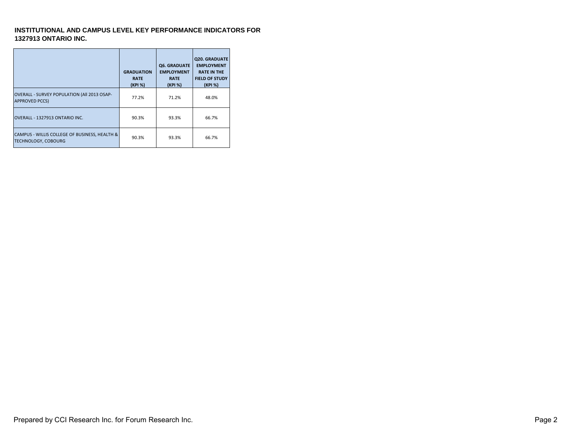## **INSTITUTIONAL AND CAMPUS LEVEL KEY PERFORMANCE INDICATORS FOR 1327913 ONTARIO INC.**

|                                                                             | <b>GRADUATION</b><br><b>RATE</b><br>(KPI %) | <b>Q6. GRADUATE</b><br><b>EMPLOYMENT</b><br><b>RATE</b><br>(KPI %) | <b>Q20. GRADUATE</b><br><b>EMPLOYMENT</b><br><b>RATE IN THE</b><br><b>FIELD OF STUDY</b><br>(KPI %) |
|-----------------------------------------------------------------------------|---------------------------------------------|--------------------------------------------------------------------|-----------------------------------------------------------------------------------------------------|
| OVERALL - SURVEY POPULATION (All 2013 OSAP-<br><b>APPROVED PCCS)</b>        | 77.2%                                       | 71.2%                                                              | 48.0%                                                                                               |
| OVERALL - 1327913 ONTARIO INC.                                              | 90.3%                                       | 93.3%                                                              | 66.7%                                                                                               |
| CAMPUS - WILLIS COLLEGE OF BUSINESS, HEALTH &<br><b>TECHNOLOGY, COBOURG</b> | 90.3%                                       | 93.3%                                                              | 66.7%                                                                                               |